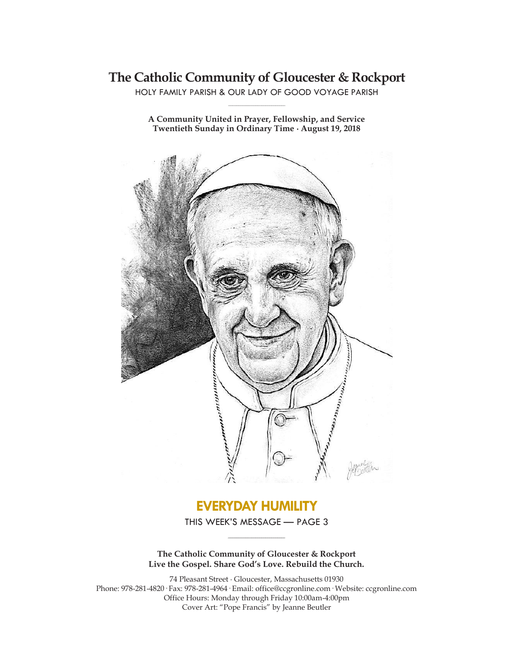# **The Catholic Community of Gloucester & Rockport**

HOLY FAMILY PARISH & OUR LADY OF GOOD VOYAGE PARISH **\_\_\_\_\_\_\_\_\_\_\_\_\_\_\_\_\_\_\_\_\_\_\_\_\_\_\_\_\_**

**A Community United in Prayer, Fellowship, and Service Twentieth Sunday in Ordinary Time ∙ August 19, 2018**



# **EVERYDAY HUMILITY**

THIS WEEK'S MESSAGE — PAGE 3 **\_\_\_\_\_\_\_\_\_\_\_\_\_\_\_\_\_\_\_\_\_\_\_\_\_\_\_\_\_**

**The Catholic Community of Gloucester & Rockport Live the Gospel. Share God's Love. Rebuild the Church.**

74 Pleasant Street ∙ Gloucester, Massachusetts 01930 Phone: 978-281-4820· Fax: 978-281-4964· Email: office@ccgronline.com· Website: ccgronline.com Office Hours: Monday through Friday 10:00am-4:00pm Cover Art: "Pope Francis" by Jeanne Beutler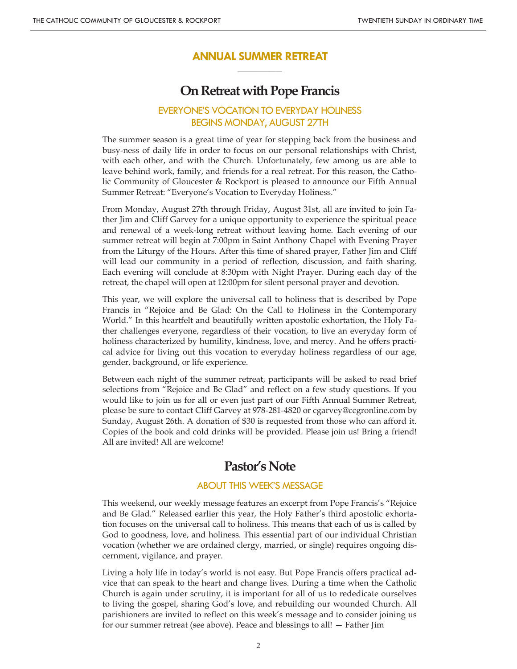### **ANNUAL SUMMER RETREAT \_\_\_\_\_\_\_\_\_\_\_\_\_\_\_\_\_\_\_\_\_**

## **On Retreat with Pope Francis**

## EVERYONE'S VOCATION TO EVERYDAY HOLINESS BEGINS MONDAY, AUGUST 27TH

The summer season is a great time of year for stepping back from the business and busy-ness of daily life in order to focus on our personal relationships with Christ, with each other, and with the Church. Unfortunately, few among us are able to leave behind work, family, and friends for a real retreat. For this reason, the Catholic Community of Gloucester & Rockport is pleased to announce our Fifth Annual Summer Retreat: "Everyone's Vocation to Everyday Holiness."

From Monday, August 27th through Friday, August 31st, all are invited to join Father Jim and Cliff Garvey for a unique opportunity to experience the spiritual peace and renewal of a week-long retreat without leaving home. Each evening of our summer retreat will begin at 7:00pm in Saint Anthony Chapel with Evening Prayer from the Liturgy of the Hours. After this time of shared prayer, Father Jim and Cliff will lead our community in a period of reflection, discussion, and faith sharing. Each evening will conclude at 8:30pm with Night Prayer. During each day of the retreat, the chapel will open at 12:00pm for silent personal prayer and devotion.

This year, we will explore the universal call to holiness that is described by Pope Francis in "Rejoice and Be Glad: On the Call to Holiness in the Contemporary World." In this heartfelt and beautifully written apostolic exhortation, the Holy Father challenges everyone, regardless of their vocation, to live an everyday form of holiness characterized by humility, kindness, love, and mercy. And he offers practical advice for living out this vocation to everyday holiness regardless of our age, gender, background, or life experience.

Between each night of the summer retreat, participants will be asked to read brief selections from "Rejoice and Be Glad" and reflect on a few study questions. If you would like to join us for all or even just part of our Fifth Annual Summer Retreat, please be sure to contact Cliff Garvey at 978-281-4820 or cgarvey@ccgronline.com by Sunday, August 26th. A donation of \$30 is requested from those who can afford it. Copies of the book and cold drinks will be provided. Please join us! Bring a friend! All are invited! All are welcome!

## **Pastor's Note**

#### ABOUT THIS WEEK'S MESSAGE

This weekend, our weekly message features an excerpt from Pope Francis's "Rejoice and Be Glad." Released earlier this year, the Holy Father's third apostolic exhortation focuses on the universal call to holiness. This means that each of us is called by God to goodness, love, and holiness. This essential part of our individual Christian vocation (whether we are ordained clergy, married, or single) requires ongoing discernment, vigilance, and prayer.

Living a holy life in today's world is not easy. But Pope Francis offers practical advice that can speak to the heart and change lives. During a time when the Catholic Church is again under scrutiny, it is important for all of us to rededicate ourselves to living the gospel, sharing God's love, and rebuilding our wounded Church. All parishioners are invited to reflect on this week's message and to consider joining us for our summer retreat (see above). Peace and blessings to all! — Father Jim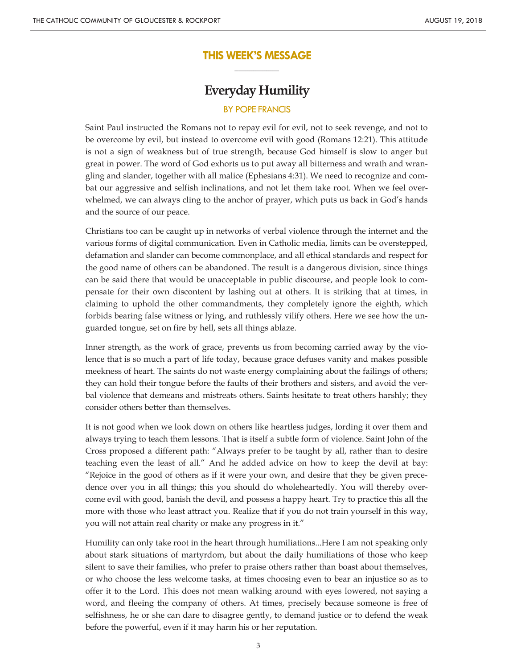## **THIS WEEK'S MESSAGE \_\_\_\_\_\_\_\_\_\_\_\_\_\_\_\_\_\_\_\_\_**

## **Everyday Humility**

#### BY POPE FRANCIS

Saint Paul instructed the Romans not to repay evil for evil, not to seek revenge, and not to be overcome by evil, but instead to overcome evil with good (Romans 12:21). This attitude is not a sign of weakness but of true strength, because God himself is slow to anger but great in power. The word of God exhorts us to put away all bitterness and wrath and wrangling and slander, together with all malice (Ephesians 4:31). We need to recognize and combat our aggressive and selfish inclinations, and not let them take root. When we feel overwhelmed, we can always cling to the anchor of prayer, which puts us back in God's hands and the source of our peace.

Christians too can be caught up in networks of verbal violence through the internet and the various forms of digital communication. Even in Catholic media, limits can be overstepped, defamation and slander can become commonplace, and all ethical standards and respect for the good name of others can be abandoned. The result is a dangerous division, since things can be said there that would be unacceptable in public discourse, and people look to compensate for their own discontent by lashing out at others. It is striking that at times, in claiming to uphold the other commandments, they completely ignore the eighth, which forbids bearing false witness or lying, and ruthlessly vilify others. Here we see how the unguarded tongue, set on fire by hell, sets all things ablaze.

Inner strength, as the work of grace, prevents us from becoming carried away by the violence that is so much a part of life today, because grace defuses vanity and makes possible meekness of heart. The saints do not waste energy complaining about the failings of others; they can hold their tongue before the faults of their brothers and sisters, and avoid the verbal violence that demeans and mistreats others. Saints hesitate to treat others harshly; they consider others better than themselves.

It is not good when we look down on others like heartless judges, lording it over them and always trying to teach them lessons. That is itself a subtle form of violence. Saint John of the Cross proposed a different path: "Always prefer to be taught by all, rather than to desire teaching even the least of all." And he added advice on how to keep the devil at bay: "Rejoice in the good of others as if it were your own, and desire that they be given precedence over you in all things; this you should do wholeheartedly. You will thereby overcome evil with good, banish the devil, and possess a happy heart. Try to practice this all the more with those who least attract you. Realize that if you do not train yourself in this way, you will not attain real charity or make any progress in it."

Humility can only take root in the heart through humiliations...Here I am not speaking only about stark situations of martyrdom, but about the daily humiliations of those who keep silent to save their families, who prefer to praise others rather than boast about themselves, or who choose the less welcome tasks, at times choosing even to bear an injustice so as to offer it to the Lord. This does not mean walking around with eyes lowered, not saying a word, and fleeing the company of others. At times, precisely because someone is free of selfishness, he or she can dare to disagree gently, to demand justice or to defend the weak before the powerful, even if it may harm his or her reputation.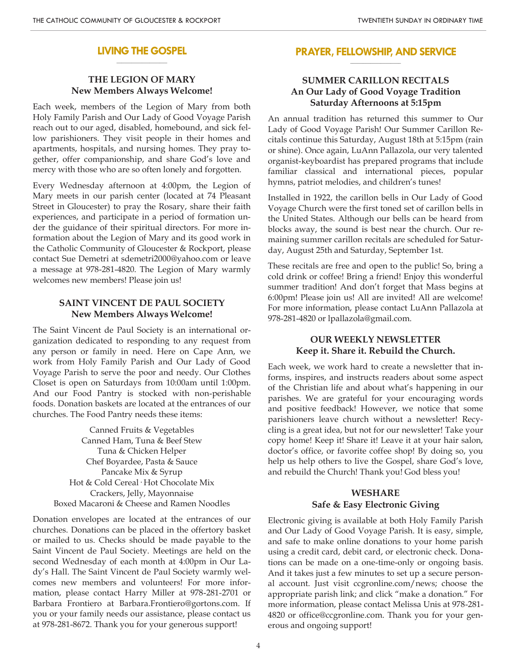#### **LIVING THE GOSPEL \_\_\_\_\_\_\_\_\_\_\_\_\_\_\_\_\_\_\_\_**

#### **THE LEGION OF MARY New Members Always Welcome!**

Each week, members of the Legion of Mary from both Holy Family Parish and Our Lady of Good Voyage Parish reach out to our aged, disabled, homebound, and sick fellow parishioners. They visit people in their homes and apartments, hospitals, and nursing homes. They pray together, offer companionship, and share God's love and mercy with those who are so often lonely and forgotten.

Every Wednesday afternoon at 4:00pm, the Legion of Mary meets in our parish center (located at 74 Pleasant Street in Gloucester) to pray the Rosary, share their faith experiences, and participate in a period of formation under the guidance of their spiritual directors. For more information about the Legion of Mary and its good work in the Catholic Community of Gloucester & Rockport, please contact Sue Demetri at sdemetri2000@yahoo.com or leave a message at 978-281-4820. The Legion of Mary warmly welcomes new members! Please join us!

#### **SAINT VINCENT DE PAUL SOCIETY New Members Always Welcome!**

The Saint Vincent de Paul Society is an international organization dedicated to responding to any request from any person or family in need. Here on Cape Ann, we work from Holy Family Parish and Our Lady of Good Voyage Parish to serve the poor and needy. Our Clothes Closet is open on Saturdays from 10:00am until 1:00pm. And our Food Pantry is stocked with non-perishable foods. Donation baskets are located at the entrances of our churches. The Food Pantry needs these items:

Canned Fruits & Vegetables Canned Ham, Tuna & Beef Stew Tuna & Chicken Helper Chef Boyardee, Pasta & Sauce Pancake Mix & Syrup Hot & Cold Cereal· Hot Chocolate Mix Crackers, Jelly, Mayonnaise Boxed Macaroni & Cheese and Ramen Noodles

Donation envelopes are located at the entrances of our churches. Donations can be placed in the offertory basket or mailed to us. Checks should be made payable to the Saint Vincent de Paul Society. Meetings are held on the second Wednesday of each month at 4:00pm in Our Lady's Hall. The Saint Vincent de Paul Society warmly welcomes new members and volunteers! For more information, please contact Harry Miller at 978-281-2701 or Barbara Frontiero at Barbara.Frontiero@gortons.com. If you or your family needs our assistance, please contact us at 978-281-8672. Thank you for your generous support!

#### **PRAYER, FELLOWSHIP, AND SERVICE \_\_\_\_\_\_\_\_\_\_\_\_\_\_\_\_\_\_\_\_**

### **SUMMER CARILLON RECITALS An Our Lady of Good Voyage Tradition Saturday Afternoons at 5:15pm**

An annual tradition has returned this summer to Our Lady of Good Voyage Parish! Our Summer Carillon Recitals continue this Saturday, August 18th at 5:15pm (rain or shine). Once again, LuAnn Pallazola, our very talented organist-keyboardist has prepared programs that include familiar classical and international pieces, popular hymns, patriot melodies, and children's tunes!

Installed in 1922, the carillon bells in Our Lady of Good Voyage Church were the first toned set of carillon bells in the United States. Although our bells can be heard from blocks away, the sound is best near the church. Our remaining summer carillon recitals are scheduled for Saturday, August 25th and Saturday, September 1st.

These recitals are free and open to the public! So, bring a cold drink or coffee! Bring a friend! Enjoy this wonderful summer tradition! And don't forget that Mass begins at 6:00pm! Please join us! All are invited! All are welcome! For more information, please contact LuAnn Pallazola at 978-281-4820 or lpallazola@gmail.com.

### **OUR WEEKLY NEWSLETTER Keep it. Share it. Rebuild the Church.**

Each week, we work hard to create a newsletter that informs, inspires, and instructs readers about some aspect of the Christian life and about what's happening in our parishes. We are grateful for your encouraging words and positive feedback! However, we notice that some parishioners leave church without a newsletter! Recycling is a great idea, but not for our newsletter! Take your copy home! Keep it! Share it! Leave it at your hair salon, doctor's office, or favorite coffee shop! By doing so, you help us help others to live the Gospel, share God's love, and rebuild the Church! Thank you! God bless you!

### **WESHARE Safe & Easy Electronic Giving**

Electronic giving is available at both Holy Family Parish and Our Lady of Good Voyage Parish. It is easy, simple, and safe to make online donations to your home parish using a credit card, debit card, or electronic check. Donations can be made on a one-time-only or ongoing basis. And it takes just a few minutes to set up a secure personal account. Just visit ccgronline.com/news; choose the appropriate parish link; and click "make a donation." For more information, please contact Melissa Unis at 978-281- 4820 or office@ccgronline.com. Thank you for your generous and ongoing support!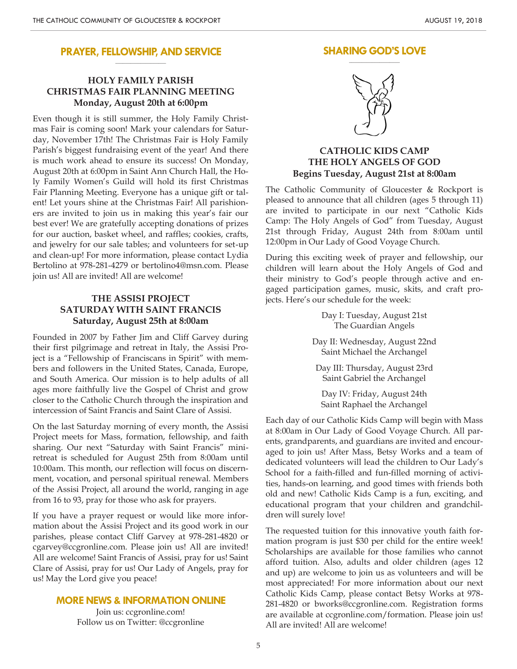#### **PRAYER, FELLOWSHIP, AND SERVICE \_\_\_\_\_\_\_\_\_\_\_\_\_\_\_\_\_\_\_\_**

## **HOLY FAMILY PARISH CHRISTMAS FAIR PLANNING MEETING Monday, August 20th at 6:00pm**

Even though it is still summer, the Holy Family Christmas Fair is coming soon! Mark your calendars for Saturday, November 17th! The Christmas Fair is Holy Family Parish's biggest fundraising event of the year! And there is much work ahead to ensure its success! On Monday, August 20th at 6:00pm in Saint Ann Church Hall, the Holy Family Women's Guild will hold its first Christmas Fair Planning Meeting. Everyone has a unique gift or talent! Let yours shine at the Christmas Fair! All parishioners are invited to join us in making this year's fair our best ever! We are gratefully accepting donations of prizes for our auction, basket wheel, and raffles; cookies, crafts, and jewelry for our sale tables; and volunteers for set-up and clean-up! For more information, please contact Lydia Bertolino at 978-281-4279 or bertolino4@msn.com. Please join us! All are invited! All are welcome!

## **THE ASSISI PROJECT SATURDAY WITH SAINT FRANCIS Saturday, August 25th at 8:00am**

Founded in 2007 by Father Jim and Cliff Garvey during their first pilgrimage and retreat in Italy, the Assisi Project is a "Fellowship of Franciscans in Spirit" with members and followers in the United States, Canada, Europe, and South America. Our mission is to help adults of all ages more faithfully live the Gospel of Christ and grow closer to the Catholic Church through the inspiration and intercession of Saint Francis and Saint Clare of Assisi.

On the last Saturday morning of every month, the Assisi Project meets for Mass, formation, fellowship, and faith sharing. Our next "Saturday with Saint Francis" miniretreat is scheduled for August 25th from 8:00am until 10:00am. This month, our reflection will focus on discernment, vocation, and personal spiritual renewal. Members of the Assisi Project, all around the world, ranging in age from 16 to 93, pray for those who ask for prayers.

If you have a prayer request or would like more information about the Assisi Project and its good work in our parishes, please contact Cliff Garvey at 978-281-4820 or cgarvey@ccgronline.com. Please join us! All are invited! All are welcome! Saint Francis of Assisi, pray for us! Saint Clare of Assisi, pray for us! Our Lady of Angels, pray for us! May the Lord give you peace!

#### **MORE NEWS & INFORMATION ONLINE**

Join us: ccgronline.com! Follow us on Twitter: @ccgronline

#### **SHARING GOD'S LOVE \_\_\_\_\_\_\_\_\_\_\_\_\_\_\_\_\_\_\_\_**



### **CATHOLIC KIDS CAMP THE HOLY ANGELS OF GOD Begins Tuesday, August 21st at 8:00am**

The Catholic Community of Gloucester & Rockport is pleased to announce that all children (ages 5 through 11) are invited to participate in our next "Catholic Kids Camp: The Holy Angels of God" from Tuesday, August 21st through Friday, August 24th from 8:00am until 12:00pm in Our Lady of Good Voyage Church.

During this exciting week of prayer and fellowship, our children will learn about the Holy Angels of God and their ministry to God's people through active and engaged participation games, music, skits, and craft projects. Here's our schedule for the week:

> Day I: Tuesday, August 21st The Guardian Angels

Day II: Wednesday, August 22nd Saint Michael the Archangel

Day III: Thursday, August 23rd Saint Gabriel the Archangel

Day IV: Friday, August 24th Saint Raphael the Archangel

Each day of our Catholic Kids Camp will begin with Mass at 8:00am in Our Lady of Good Voyage Church. All parents, grandparents, and guardians are invited and encouraged to join us! After Mass, Betsy Works and a team of dedicated volunteers will lead the children to Our Lady's School for a faith-filled and fun-filled morning of activities, hands-on learning, and good times with friends both old and new! Catholic Kids Camp is a fun, exciting, and educational program that your children and grandchildren will surely love!

The requested tuition for this innovative youth faith formation program is just \$30 per child for the entire week! Scholarships are available for those families who cannot afford tuition. Also, adults and older children (ages 12 and up) are welcome to join us as volunteers and will be most appreciated! For more information about our next Catholic Kids Camp, please contact Betsy Works at 978- 281-4820 or bworks@ccgronline.com. Registration forms are available at ccgronline.com/formation. Please join us! All are invited! All are welcome!